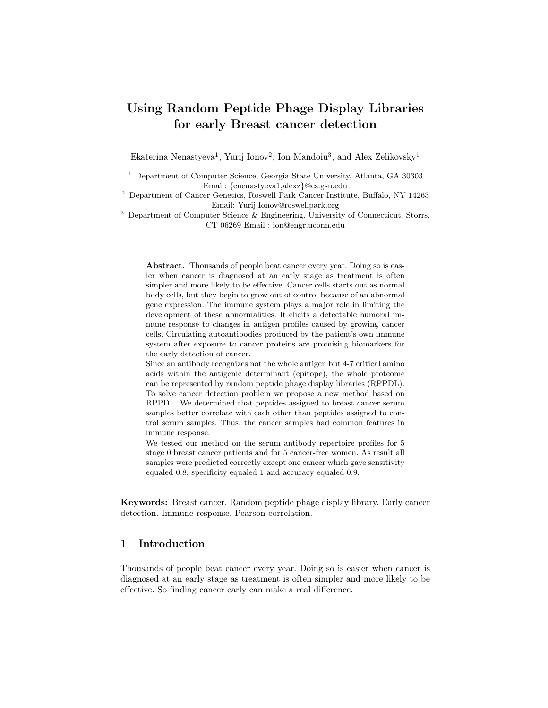# Using Random Peptide Phage Display Libraries for early Breast cancer detection

Ekaterina Nenastyeva<sup>1</sup>, Yurij Ionov<sup>2</sup>, Ion Mandoiu<sup>3</sup>, and Alex Zelikovsky<sup>1</sup>

<sup>1</sup> Department of Computer Science, Georgia State University, Atlanta, GA 30303 Email: {enenastyeva1,alexz}@cs.gsu.edu

<sup>2</sup> Department of Cancer Genetics, Roswell Park Cancer Institute, Buffalo, NY 14263 Email: Yurij.Ionov@roswellpark.org

<sup>3</sup> Department of Computer Science & Engineering, University of Connecticut, Storrs, CT 06269 Email : ion@engr.uconn.edu

Abstract. Thousands of people beat cancer every year. Doing so is easier when cancer is diagnosed at an early stage as treatment is often simpler and more likely to be effective. Cancer cells starts out as normal body cells, but they begin to grow out of control because of an abnormal gene expression. The immune system plays a major role in limiting the development of these abnormalities. It elicits a detectable humoral immune response to changes in antigen profiles caused by growing cancer cells. Circulating autoantibodies produced by the patient's own immune system after exposure to cancer proteins are promising biomarkers for the early detection of cancer.

Since an antibody recognizes not the whole antigen but 4-7 critical amino acids within the antigenic determinant (epitope), the whole proteome can be represented by random peptide phage display libraries (RPPDL). To solve cancer detection problem we propose a new method based on RPPDL. We determined that peptides assigned to breast cancer serum samples better correlate with each other than peptides assigned to control serum samples. Thus, the cancer samples had common features in immune response.

We tested our method on the serum antibody repertoire profiles for 5 stage 0 breast cancer patients and for 5 cancer-free women. As result all samples were predicted correctly except one cancer which gave sensitivity equaled 0.8, specificity equaled 1 and accuracy equaled 0.9.

Keywords: Breast cancer. Random peptide phage display library. Early cancer detection. Immune response. Pearson correlation.

## 1 Introduction

Thousands of people beat cancer every year. Doing so is easier when cancer is diagnosed at an early stage as treatment is often simpler and more likely to be effective. So finding cancer early can make a real difference.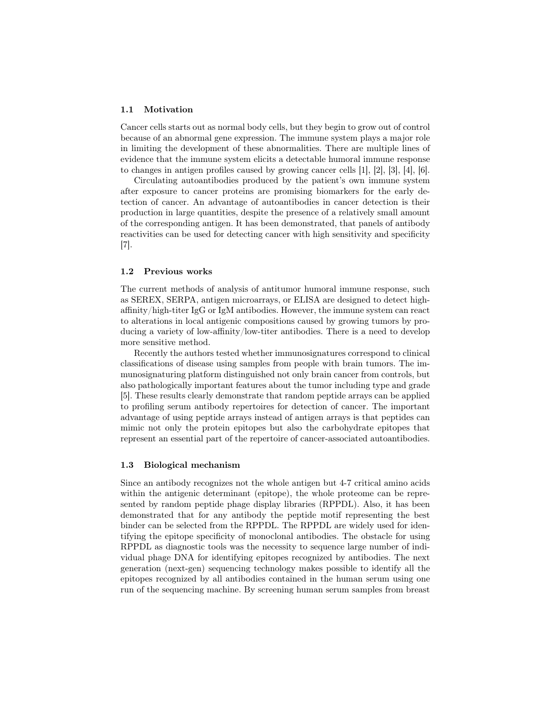#### 1.1 Motivation

Cancer cells starts out as normal body cells, but they begin to grow out of control because of an abnormal gene expression. The immune system plays a major role in limiting the development of these abnormalities. There are multiple lines of evidence that the immune system elicits a detectable humoral immune response to changes in antigen profiles caused by growing cancer cells [1], [2], [3], [4], [6].

Circulating autoantibodies produced by the patient's own immune system after exposure to cancer proteins are promising biomarkers for the early detection of cancer. An advantage of autoantibodies in cancer detection is their production in large quantities, despite the presence of a relatively small amount of the corresponding antigen. It has been demonstrated, that panels of antibody reactivities can be used for detecting cancer with high sensitivity and specificity [7].

#### 1.2 Previous works

The current methods of analysis of antitumor humoral immune response, such as SEREX, SERPA, antigen microarrays, or ELISA are designed to detect highaffinity/high-titer IgG or IgM antibodies. However, the immune system can react to alterations in local antigenic compositions caused by growing tumors by producing a variety of low-affinity/low-titer antibodies. There is a need to develop more sensitive method.

Recently the authors tested whether immunosignatures correspond to clinical classifications of disease using samples from people with brain tumors. The immunosignaturing platform distinguished not only brain cancer from controls, but also pathologically important features about the tumor including type and grade [5]. These results clearly demonstrate that random peptide arrays can be applied to profiling serum antibody repertoires for detection of cancer. The important advantage of using peptide arrays instead of antigen arrays is that peptides can mimic not only the protein epitopes but also the carbohydrate epitopes that represent an essential part of the repertoire of cancer-associated autoantibodies.

#### 1.3 Biological mechanism

Since an antibody recognizes not the whole antigen but 4-7 critical amino acids within the antigenic determinant (epitope), the whole proteome can be represented by random peptide phage display libraries (RPPDL). Also, it has been demonstrated that for any antibody the peptide motif representing the best binder can be selected from the RPPDL. The RPPDL are widely used for identifying the epitope specificity of monoclonal antibodies. The obstacle for using RPPDL as diagnostic tools was the necessity to sequence large number of individual phage DNA for identifying epitopes recognized by antibodies. The next generation (next-gen) sequencing technology makes possible to identify all the epitopes recognized by all antibodies contained in the human serum using one run of the sequencing machine. By screening human serum samples from breast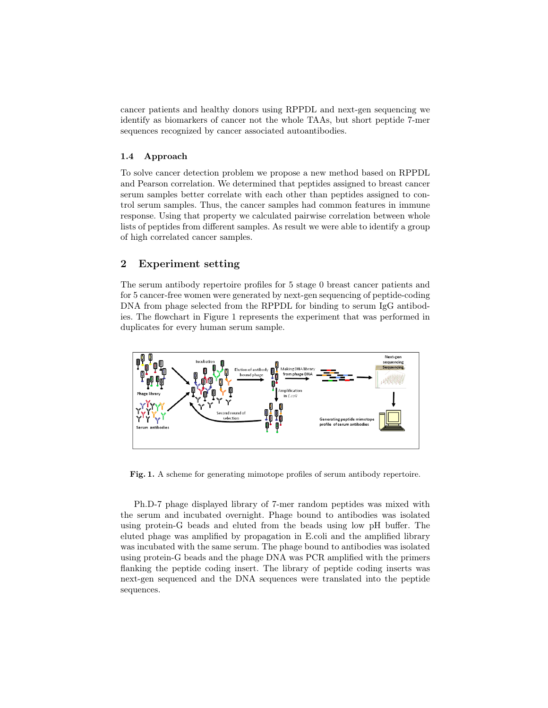cancer patients and healthy donors using RPPDL and next-gen sequencing we identify as biomarkers of cancer not the whole TAAs, but short peptide 7-mer sequences recognized by cancer associated autoantibodies.

#### 1.4 Approach

To solve cancer detection problem we propose a new method based on RPPDL and Pearson correlation. We determined that peptides assigned to breast cancer serum samples better correlate with each other than peptides assigned to control serum samples. Thus, the cancer samples had common features in immune response. Using that property we calculated pairwise correlation between whole lists of peptides from different samples. As result we were able to identify a group of high correlated cancer samples.

## 2 Experiment setting

The serum antibody repertoire profiles for 5 stage 0 breast cancer patients and for 5 cancer-free women were generated by next-gen sequencing of peptide-coding DNA from phage selected from the RPPDL for binding to serum IgG antibodies. The flowchart in Figure 1 represents the experiment that was performed in duplicates for every human serum sample.



Fig. 1. A scheme for generating mimotope profiles of serum antibody repertoire.

Ph.D-7 phage displayed library of 7-mer random peptides was mixed with the serum and incubated overnight. Phage bound to antibodies was isolated using protein-G beads and eluted from the beads using low pH buffer. The eluted phage was amplified by propagation in E.coli and the amplified library was incubated with the same serum. The phage bound to antibodies was isolated using protein-G beads and the phage DNA was PCR amplified with the primers flanking the peptide coding insert. The library of peptide coding inserts was next-gen sequenced and the DNA sequences were translated into the peptide sequences.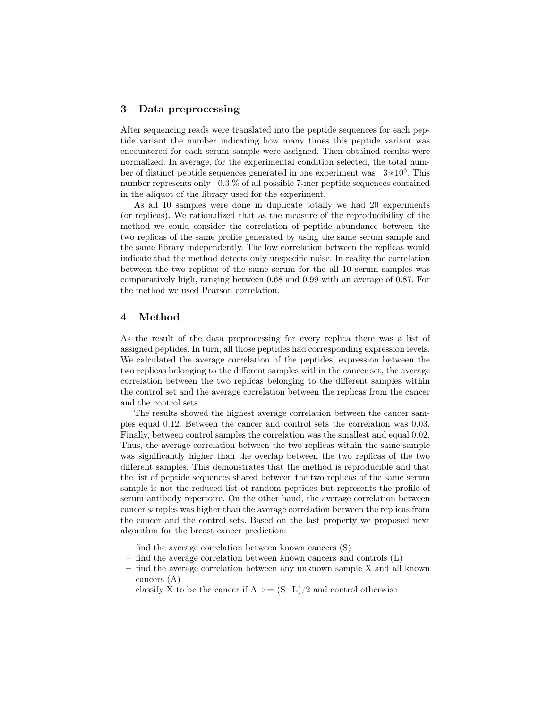## 3 Data preprocessing

After sequencing reads were translated into the peptide sequences for each peptide variant the number indicating how many times this peptide variant was encountered for each serum sample were assigned. Then obtained results were normalized. In average, for the experimental condition selected, the total number of distinct peptide sequences generated in one experiment was  $3*10^6$ . This number represents only 0.3 % of all possible 7-mer peptide sequences contained in the aliquot of the library used for the experiment.

As all 10 samples were done in duplicate totally we had 20 experiments (or replicas). We rationalized that as the measure of the reproducibility of the method we could consider the correlation of peptide abundance between the two replicas of the same profile generated by using the same serum sample and the same library independently. The low correlation between the replicas would indicate that the method detects only unspecific noise. In reality the correlation between the two replicas of the same serum for the all 10 serum samples was comparatively high, ranging between 0.68 and 0.99 with an average of 0.87. For the method we used Pearson correlation.

## 4 Method

As the result of the data preprocessing for every replica there was a list of assigned peptides. In turn, all those peptides had corresponding expression levels. We calculated the average correlation of the peptides' expression between the two replicas belonging to the different samples within the cancer set, the average correlation between the two replicas belonging to the different samples within the control set and the average correlation between the replicas from the cancer and the control sets.

The results showed the highest average correlation between the cancer samples equal 0.12. Between the cancer and control sets the correlation was 0.03. Finally, between control samples the correlation was the smallest and equal 0.02. Thus, the average correlation between the two replicas within the same sample was significantly higher than the overlap between the two replicas of the two different samples. This demonstrates that the method is reproducible and that the list of peptide sequences shared between the two replicas of the same serum sample is not the reduced list of random peptides but represents the profile of serum antibody repertoire. On the other hand, the average correlation between cancer samples was higher than the average correlation between the replicas from the cancer and the control sets. Based on the last property we proposed next algorithm for the breast cancer prediction:

- find the average correlation between known cancers (S)
- find the average correlation between known cancers and controls (L)
- find the average correlation between any unknown sample X and all known cancers (A)
- classify X to be the cancer if  $A \geq (S+L)/2$  and control otherwise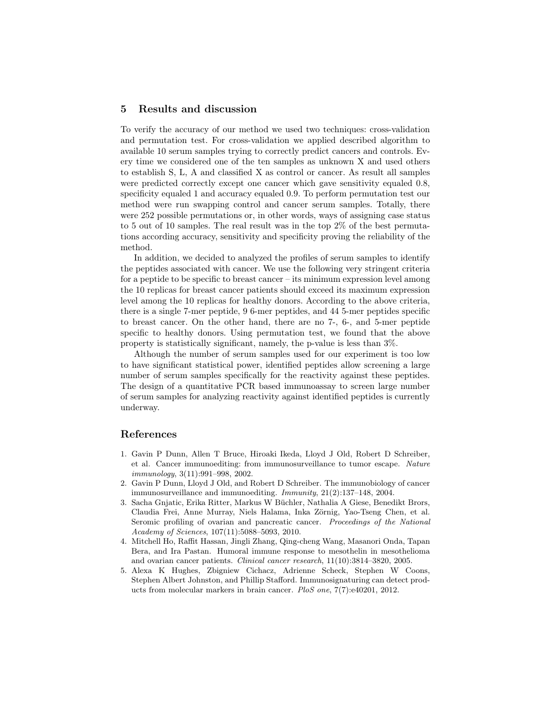#### 5 Results and discussion

To verify the accuracy of our method we used two techniques: cross-validation and permutation test. For cross-validation we applied described algorithm to available 10 serum samples trying to correctly predict cancers and controls. Every time we considered one of the ten samples as unknown X and used others to establish S, L, A and classified X as control or cancer. As result all samples were predicted correctly except one cancer which gave sensitivity equaled 0.8, specificity equaled 1 and accuracy equaled 0.9. To perform permutation test our method were run swapping control and cancer serum samples. Totally, there were 252 possible permutations or, in other words, ways of assigning case status to 5 out of 10 samples. The real result was in the top 2% of the best permutations according accuracy, sensitivity and specificity proving the reliability of the method.

In addition, we decided to analyzed the profiles of serum samples to identify the peptides associated with cancer. We use the following very stringent criteria for a peptide to be specific to breast cancer – its minimum expression level among the 10 replicas for breast cancer patients should exceed its maximum expression level among the 10 replicas for healthy donors. According to the above criteria, there is a single 7-mer peptide, 9 6-mer peptides, and 44 5-mer peptides specific to breast cancer. On the other hand, there are no 7-, 6-, and 5-mer peptide specific to healthy donors. Using permutation test, we found that the above property is statistically significant, namely, the p-value is less than 3%.

Although the number of serum samples used for our experiment is too low to have significant statistical power, identified peptides allow screening a large number of serum samples specifically for the reactivity against these peptides. The design of a quantitative PCR based immunoassay to screen large number of serum samples for analyzing reactivity against identified peptides is currently underway.

#### References

- 1. Gavin P Dunn, Allen T Bruce, Hiroaki Ikeda, Lloyd J Old, Robert D Schreiber, et al. Cancer immunoediting: from immunosurveillance to tumor escape. Nature immunology, 3(11):991–998, 2002.
- 2. Gavin P Dunn, Lloyd J Old, and Robert D Schreiber. The immunobiology of cancer immunosurveillance and immunoediting. Immunity, 21(2):137–148, 2004.
- 3. Sacha Gnjatic, Erika Ritter, Markus W Büchler, Nathalia A Giese, Benedikt Brors, Claudia Frei, Anne Murray, Niels Halama, Inka Zörnig, Yao-Tseng Chen, et al. Seromic profiling of ovarian and pancreatic cancer. Proceedings of the National Academy of Sciences, 107(11):5088–5093, 2010.
- 4. Mitchell Ho, Raffit Hassan, Jingli Zhang, Qing-cheng Wang, Masanori Onda, Tapan Bera, and Ira Pastan. Humoral immune response to mesothelin in mesothelioma and ovarian cancer patients. Clinical cancer research, 11(10):3814–3820, 2005.
- 5. Alexa K Hughes, Zbigniew Cichacz, Adrienne Scheck, Stephen W Coons, Stephen Albert Johnston, and Phillip Stafford. Immunosignaturing can detect products from molecular markers in brain cancer. PloS one, 7(7):e40201, 2012.